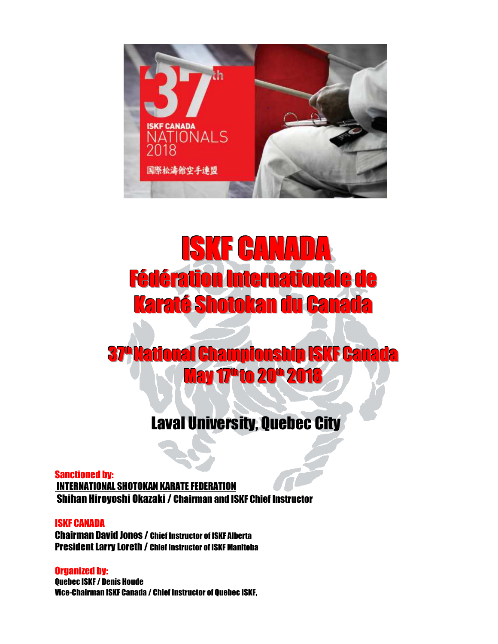

# ISKF CANADA Fédération Internationale de Karaté Shotokan du Canada

# **37º National Championship ISKF Canada May 17<sup>th</sup> to 20<sup>th</sup> 2018**

## Laval University, Quebec City

Sanctioned by: INTERNATIONAL SHOTOKAN KARATE FEDERATION Shihan Hiroyoshi Okazaki / Chairman and ISKF Chief Instructor

#### ISKF CANADA

Chairman David Jones / Chief Instructor of ISKF Alberta President Larry Loreth / Chief Instructor of ISKF Manitoba

Organized by: Quebec ISKF / Denis Houde Vice-Chairman ISKF Canada / Chief Instructor of Quebec ISKF,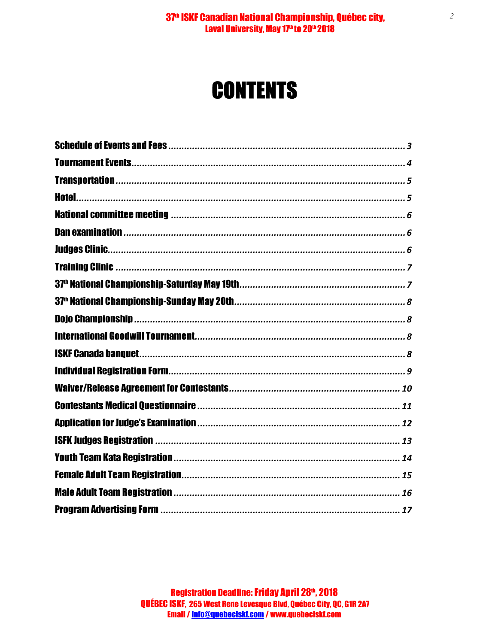#### 37<sup>th</sup> ISKF Canadian National Championship, Québec city, Laval University, May 17<sup>th</sup> to 20<sup>th</sup> 2018

# **CONTENTS**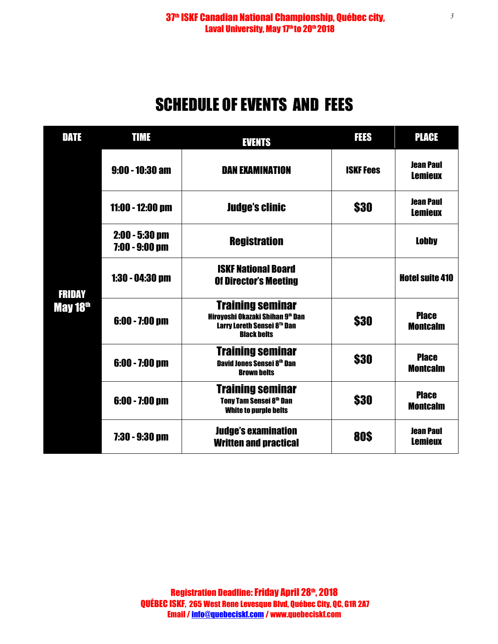## SCHEDULE OF EVENTS AND FEES

| DATE                      | <b>TIME</b>                          | <b>EVENTS</b>                                                                                                                            | FEES             | <b>PLACE</b>                       |
|---------------------------|--------------------------------------|------------------------------------------------------------------------------------------------------------------------------------------|------------------|------------------------------------|
|                           | $9:00 - 10:30$ am                    | <b>DAN EXAMINATION</b>                                                                                                                   | <b>ISKF Fees</b> | <b>Jean Paul</b><br><b>Lemieux</b> |
|                           | $11:00 - 12:00$ pm                   | <b>Judge's clinic</b>                                                                                                                    | \$30             | <b>Jean Paul</b><br><b>Lemieux</b> |
|                           | $2:00 - 5:30$ pm<br>$7:00 - 9:00$ pm | <b>Registration</b>                                                                                                                      |                  | <b>Lobby</b>                       |
| <b>FRIDAY</b><br>May 18th | $1:30 - 04:30$ pm                    | <b>ISKF National Board</b><br><b>Of Director's Meeting</b>                                                                               |                  | <b>Hotel suite 410</b>             |
|                           | $6:00 - 7:00$ pm                     | <b>Training seminar</b><br>Hirovoshi Okazaki Shihan 9 <sup>th</sup> Dan<br>Larry Loreth Sensei 8 <sup>th</sup> Dan<br><b>Black belts</b> | \$30             | <b>Place</b><br><b>Montcalm</b>    |
|                           | $6:00 - 7:00$ pm                     | <b>Training seminar</b><br>David Jones Sensei 8th Dan<br><b>Brown belts</b>                                                              | \$30             | <b>Place</b><br><b>Montcalm</b>    |
|                           | $6:00 - 7:00$ pm                     | <b>Training seminar</b><br>Tony Tam Sensei 8th Dan<br><b>White to purple belts</b>                                                       | \$30             | <b>Place</b><br><b>Montcalm</b>    |
|                           | $7:30 - 9:30$ pm                     | <b>Judge's examination</b><br><b>Written and practical</b>                                                                               | 80\$             | <b>Jean Paul</b><br><b>Lemieux</b> |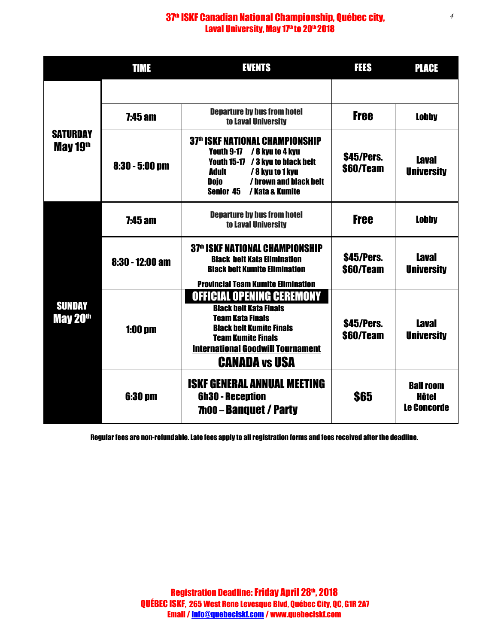### 37<sup>th</sup> ISKF Canadian National Championship, Québec city, Laval University, May 17<sup>th</sup> to 20<sup>th</sup> 2018

|                                       | TIME                                                                                                                                                                                                                                                  | <b>EVENTS</b>                                                                                                                                                                                                                    | TIS                     | <b>PLACE</b>                                           |
|---------------------------------------|-------------------------------------------------------------------------------------------------------------------------------------------------------------------------------------------------------------------------------------------------------|----------------------------------------------------------------------------------------------------------------------------------------------------------------------------------------------------------------------------------|-------------------------|--------------------------------------------------------|
| <b>SATURDAY</b><br>May 19th           |                                                                                                                                                                                                                                                       |                                                                                                                                                                                                                                  |                         |                                                        |
|                                       | <b>7:45 am</b>                                                                                                                                                                                                                                        | <b>Departure by bus from hotel</b><br>to Laval University                                                                                                                                                                        | <b>Free</b>             | <b>Lobby</b>                                           |
|                                       | <b>37th ISKF NATIONAL CHAMPIONSHIP</b><br>/ 8 kyu to 4 kyu<br>Youth 9-17<br>Youth 15-17 / 3 kyu to black belt<br>$8:30 - 5:00$ pm<br><b>Adult</b><br>/ 8 kyu to 1 kyu<br>/ brown and black belt<br><b>Dojo</b><br>/ Kata & Kumite<br><b>Senior 45</b> |                                                                                                                                                                                                                                  | \$45/Pers.<br>\$60/Team | <b>Laval</b><br><b>University</b>                      |
| <b>SUNDAY</b><br>May 20 <sup>th</sup> | <b>7:45 am</b>                                                                                                                                                                                                                                        | <b>Departure by bus from hotel</b><br>to Laval University                                                                                                                                                                        | <b>Free</b>             | <b>Lobby</b>                                           |
|                                       | $8:30 - 12:00$ am                                                                                                                                                                                                                                     | <b>37th ISKF NATIONAL CHAMPIONSHIP</b><br><b>Black belt Kata Elimination</b><br><b>Black belt Kumite Elimination</b><br><b>Provincial Team Kumite Elimination</b>                                                                | \$45/Pers.<br>\$60/Team | <b>Laval</b><br><b>University</b>                      |
|                                       | $1:00$ pm                                                                                                                                                                                                                                             | <b>OFFICIAL OPENING CEREMONY</b><br><b>Black belt Kata Finals</b><br><b>Team Kata Finals</b><br><b>Black belt Kumite Finals</b><br><b>Team Kumite Finals</b><br><b>International Goodwill Tournament</b><br><b>CANADA vs USA</b> | \$45/Pers.<br>\$60/Team | <b>Laval</b><br><b>University</b>                      |
|                                       | <b>6:30 pm</b>                                                                                                                                                                                                                                        | <b>ISKF GENERAL ANNUAL MEETING</b><br><b>6h30 - Reception</b><br>7h00 - Banguet / Party                                                                                                                                          | \$65                    | <b>Ball room</b><br><b>Hôtel</b><br><b>Le Concorde</b> |

Regular fees are non-refundable. Late fees apply to all registration forms and fees received after the deadline.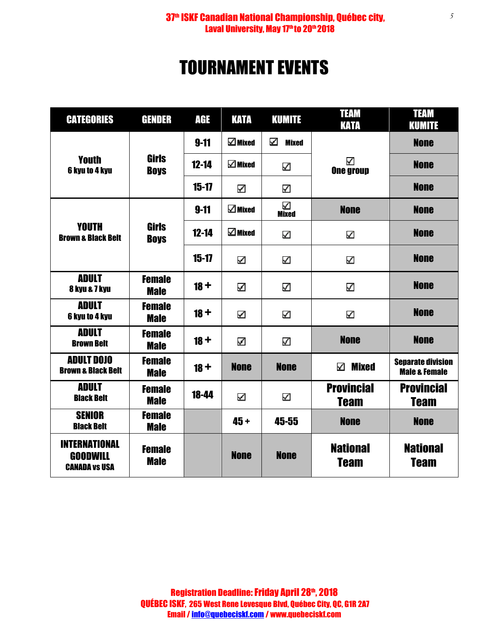### 37<sup>th</sup> ISKF Canadian National Championship, Québec city, Laval University, May 17<sup>th</sup> to 20<sup>th</sup> 2018

# TOURNAMENT EVENTS

| <b>CATEGORIES</b>                                               | <b>GENDER</b>                | AGE       | KATA            | <b>KUMITE</b>     | <b>TEAM</b><br>KATA              | <b>TEAM</b><br><b>KUMITE</b>                         |
|-----------------------------------------------------------------|------------------------------|-----------|-----------------|-------------------|----------------------------------|------------------------------------------------------|
| <b>Youth</b><br>6 kyu to 4 kyu                                  |                              | $9 - 11$  | $\Box$ Mixed    | ☑<br><b>Mixed</b> | M<br><b>One group</b>            | <b>None</b>                                          |
|                                                                 | <b>Girls</b><br><b>Boys</b>  | $12 - 14$ | $\square$ Mixed | ✓                 |                                  | <b>None</b>                                          |
|                                                                 |                              | $15 - 17$ | ☑               | M                 |                                  | <b>None</b>                                          |
|                                                                 |                              | $9 - 11$  | $\square$ Mixed | ⊻<br><b>Mixed</b> | <b>None</b>                      | <b>None</b>                                          |
| <b>YOUTH</b><br><b>Brown &amp; Black Belt</b>                   | <b>Girls</b><br><b>Boys</b>  | $12 - 14$ | $\square$ Mixed | V                 | M                                | <b>None</b>                                          |
|                                                                 |                              | $15 - 17$ | ☑               | $\checkmark$      | V                                | <b>None</b>                                          |
| <b>ADULT</b><br>8 kyu & 7 kyu                                   | <b>Female</b><br><b>Male</b> | $18 +$    | ☑               | V                 | ✔                                | <b>None</b>                                          |
| <b>ADULT</b><br>6 kyu to 4 kyu                                  | <b>Female</b><br><b>Male</b> | $18 +$    | ☑               | ⊻                 | K                                | <b>None</b>                                          |
| <b>ADULT</b><br><b>Brown Belt</b>                               | <b>Female</b><br><b>Male</b> | $18 +$    | ☑               | ☑                 | <b>None</b>                      | <b>None</b>                                          |
| <b>ADULT DOJO</b><br><b>Brown &amp; Black Belt</b>              | <b>Female</b><br><b>Male</b> | $18 +$    | <b>None</b>     | <b>None</b>       | <b>Mixed</b><br>М                | <b>Separate division</b><br><b>Male &amp; Female</b> |
| <b>ADULT</b><br><b>Black Belt</b>                               | <b>Female</b><br><b>Male</b> | 18-44     | ☑               | ⊻                 | <b>Provincial</b><br><b>Team</b> | <b>Provincial</b><br><b>Team</b>                     |
| <b>SENIOR</b><br><b>Black Belt</b>                              | <b>Female</b><br><b>Male</b> |           | $45 +$          | 45-55             | <b>None</b>                      | <b>None</b>                                          |
| <b>INTERNATIONAL</b><br><b>GOODWILL</b><br><b>CANADA VS USA</b> | <b>Female</b><br><b>Male</b> |           | <b>None</b>     | <b>None</b>       | <b>National</b><br><b>Team</b>   | <b>National</b><br><b>Team</b>                       |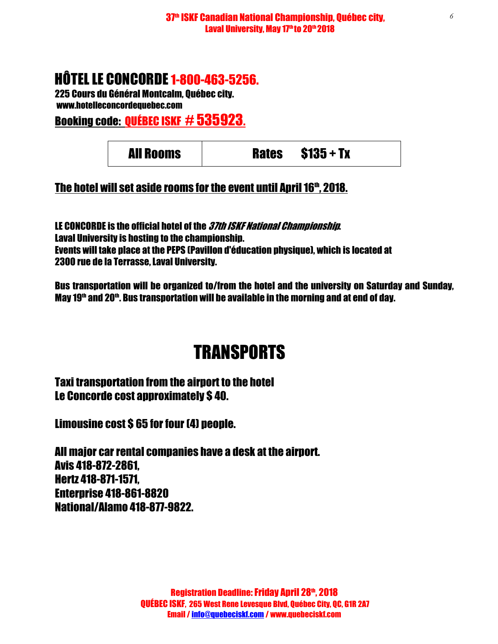### HÔTEL LE CONCORDE 1-800-463-5256.

225 Cours du Général Montcalm, Québec city. www.hotelleconcordequebec.com

Booking code: QUÉBEC ISKF # 535923.

|  | <b>All Rooms</b> | <b>Rates</b> | $$135 + Tx$ |  |
|--|------------------|--------------|-------------|--|
|--|------------------|--------------|-------------|--|

### The hotel will set aside rooms for the event until April 16th, 2018.

LE CONCORDE is the official hotel of the *37th ISKF National Championship*. Laval University is hosting to the championship. Events will take place at the PEPS (Pavillon d'éducation physique), which is located at 2300 rue de la Terrasse, Laval University.

Bus transportation will be organized to/from the hotel and the university on Saturday and Sunday, May 19<sup>th</sup> and 20<sup>th</sup>. Bus transportation will be available in the morning and at end of day.

## **TRANSPORTS**

Taxi transportation from the airport to the hotel Le Concorde cost approximately \$ 40.

Limousine cost \$ 65 for four (4) people.

All major car rental companies have a desk at the airport. Avis 418-872-2861, Hertz 418-871-1571, Enterprise 418-861-8820 National/Alamo 418-877-9822.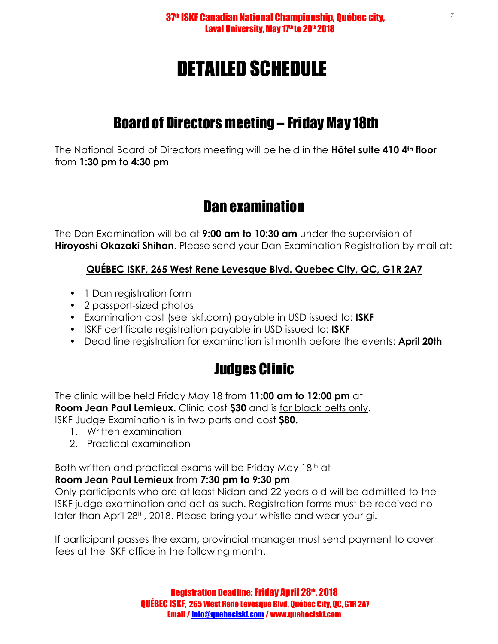# DETAILED SCHEDULE

### Board of Directors meeting – Friday May 18th

The National Board of Directors meeting will be held in the **Hôtel suite 410 4th floor** from **1:30 pm to 4:30 pm**

### Dan examination

The Dan Examination will be at **9:00 am to 10:30 am** under the supervision of **Hiroyoshi Okazaki Shihan**. Please send your Dan Examination Registration by mail at:

### **QUÉBEC ISKF, 265 West Rene Levesque Blvd. Quebec City, QC, G1R 2A7**

- 1 Dan registration form
- 2 passport-sized photos
- Examination cost (see iskf.com) payable in USD issued to: **ISKF**
- ISKF certificate registration payable in USD issued to: **ISKF**
- Dead line registration for examination is1month before the events: **April 20th**

### Judges Clinic

The clinic will be held Friday May 18 from **11:00 am to 12:00 pm** at **Room Jean Paul Lemieux**. Clinic cost **\$30** and is for black belts only. ISKF Judge Examination is in two parts and cost **\$80.**

- 1. Written examination
- 2. Practical examination

Both written and practical exams will be Friday May 18th at

### **Room Jean Paul Lemieux** from **7:30 pm to 9:30 pm**

Only participants who are at least Nidan and 22 years old will be admitted to the ISKF judge examination and act as such. Registration forms must be received no later than April 28<sup>th</sup>, 2018. Please bring your whistle and wear your gi.

If participant passes the exam, provincial manager must send payment to cover fees at the ISKF office in the following month.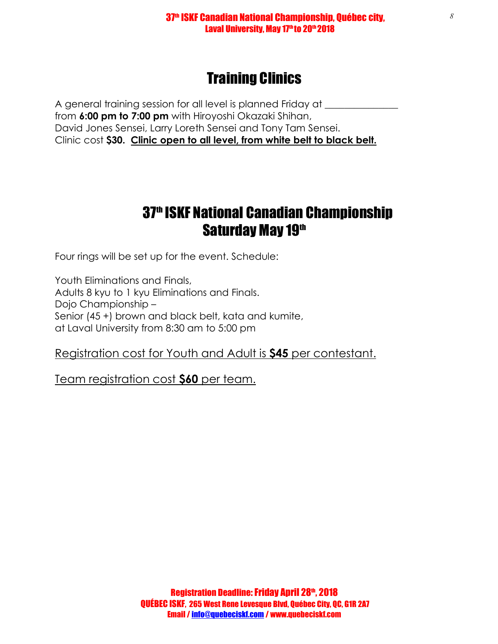#### 37<sup>th</sup> ISKF Canadian National Championship, Québec city, Laval University, May 17th to 20th 2018

### Training Clinics

A general training session for all level is planned Friday at **All 2018** from **6:00 pm to 7:00 pm** with Hiroyoshi Okazaki Shihan, David Jones Sensei, Larry Loreth Sensei and Tony Tam Sensei. Clinic cost **\$30. Clinic open to all level, from white belt to black belt.** 

### 37<sup>th</sup> ISKF National Canadian Championship Saturday May 19th

Four rings will be set up for the event. Schedule:

Youth Eliminations and Finals, Adults 8 kyu to 1 kyu Eliminations and Finals. Dojo Championship – Senior (45 +) brown and black belt, kata and kumite, at Laval University from 8:30 am to 5:00 pm

### Registration cost for Youth and Adult is **\$45** per contestant.

Team registration cost **\$60** per team.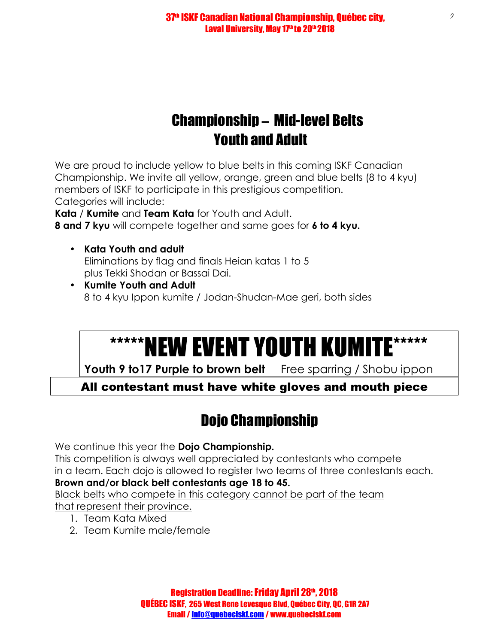### Championship – Mid-level Belts Youth and Adult

We are proud to include yellow to blue belts in this coming ISKF Canadian Championship. We invite all yellow, orange, green and blue belts (8 to 4 kyu) members of ISKF to participate in this prestigious competition. Categories will include:

**Kata** / **Kumite** and **Team Kata** for Youth and Adult. **8 and 7 kyu** will compete together and same goes for **6 to 4 kyu.**

- **Kata Youth and adult**  Eliminations by flag and finals Heian katas 1 to 5 plus Tekki Shodan or Bassai Dai.
- **Kumite Youth and Adult**  8 to 4 kyu Ippon kumite / Jodan-Shudan-Mae geri, both sides

# \*\*\*\*\*\*NEW EVENT YOUTH KUMITE\*\*\*\*\*

Youth 9 to17 Purple to brown belt Free sparring / Shobu ippon

All contestant must have white gloves and mouth piece

## Dojo Championship

We continue this year the **Dojo Championship.**

This competition is always well appreciated by contestants who compete in a team. Each dojo is allowed to register two teams of three contestants each.

### **Brown and/or black belt contestants age 18 to 45.**

Black belts who compete in this category cannot be part of the team

- that represent their province.
	- 1. Team Kata Mixed
	- 2. Team Kumite male/female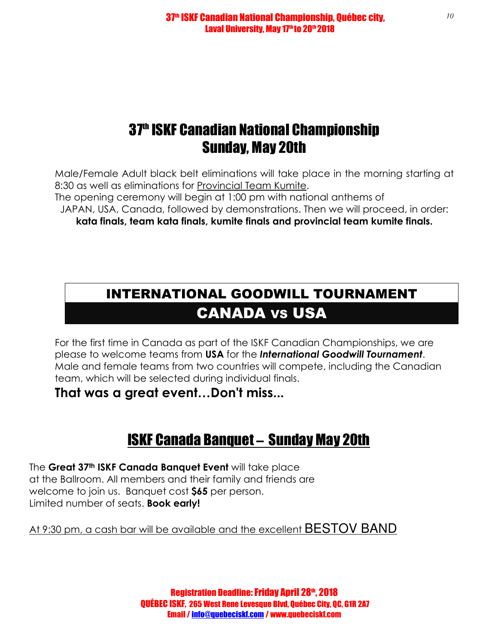### 37<sup>th</sup> ISKF Canadian National Championship Sunday, May 20th

Male/Female Adult black belt eliminations will take place in the morning starting at 8:30 as well as eliminations for Provincial Team Kumite.

The opening ceremony will begin at 1:00 pm with national anthems of

JAPAN, USA, Canada, followed by demonstrations. Then we will proceed, in order:

**kata finals, team kata finals, kumite finals and provincial team kumite finals.**

## INTERNATIONAL GOODWILL TOURNAMENT CANADA VS USA

For the first time in Canada as part of the ISKF Canadian Championships, we are please to welcome teams from **USA** for the *International Goodwill Tournament*. Male and female teams from two countries will compete, including the Canadian team, which will be selected during individual finals.

**That was a great event…Don't miss...**

### ISKF Canada Banquet – Sunday May 20th

The **Great 37th ISKF Canada Banquet Event** will take place at the Ballroom. All members and their family and friends are welcome to join us. Banquet cost **\$65** per person. Limited number of seats. **Book early!**

### At 9:30 pm, a cash bar will be available and the excellent BESTOV BAND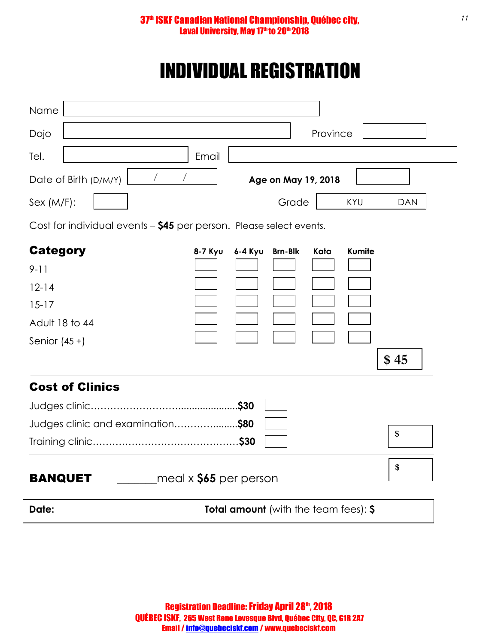# INDIVIDUAL REGISTRATION

| Name                                                                |                                             |
|---------------------------------------------------------------------|---------------------------------------------|
| Dojo                                                                | Province                                    |
| Tel.<br>Email                                                       |                                             |
| $\sqrt{2}$<br>Date of Birth (D/M/Y)                                 | Age on May 19, 2018                         |
| Sex (M/F):                                                          | Grade<br>KYU<br><b>DAN</b>                  |
| Cost for individual events - \$45 per person. Please select events. |                                             |
| <b>Category</b><br>8-7 Kyu                                          | 6-4 Kyu<br><b>Brn-Blk</b><br>Kata<br>Kumite |
| $9 - 11$                                                            |                                             |
| $12 - 14$                                                           |                                             |
| $15 - 17$                                                           |                                             |
| Adult 18 to 44                                                      |                                             |
| Senior $(45 +)$                                                     |                                             |
|                                                                     | \$45                                        |
| <b>Cost of Clinics</b>                                              |                                             |
|                                                                     |                                             |
| Judges clinic and examination\$80                                   |                                             |
|                                                                     | \$                                          |
|                                                                     | \$                                          |
| $\epsilon$ meal x $\$$ 65 per person<br><b>BANQUET</b>              |                                             |
| Date:                                                               | Total amount (with the team fees): \$       |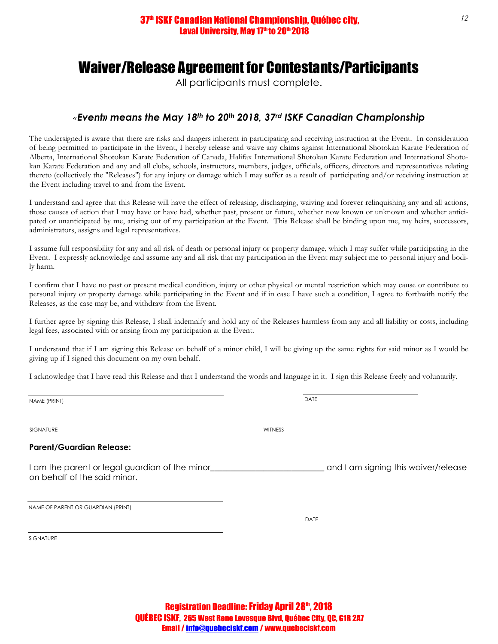### Waiver/Release Agreement for Contestants/Participants

All participants must complete.

### *«Event» means the May 18th to 20th 2018, 37rd ISKF Canadian Championship*

The undersigned is aware that there are risks and dangers inherent in participating and receiving instruction at the Event. In consideration of being permitted to participate in the Event, I hereby release and waive any claims against International Shotokan Karate Federation of Alberta, International Shotokan Karate Federation of Canada, Halifax International Shotokan Karate Federation and International Shotokan Karate Federation and any and all clubs, schools, instructors, members, judges, officials, officers, directors and representatives relating thereto (collectively the "Releases") for any injury or damage which I may suffer as a result of participating and/or receiving instruction at the Event including travel to and from the Event.

I understand and agree that this Release will have the effect of releasing, discharging, waiving and forever relinquishing any and all actions, those causes of action that I may have or have had, whether past, present or future, whether now known or unknown and whether anticipated or unanticipated by me, arising out of my participation at the Event. This Release shall be binding upon me, my heirs, successors, administrators, assigns and legal representatives.

I assume full responsibility for any and all risk of death or personal injury or property damage, which I may suffer while participating in the Event. I expressly acknowledge and assume any and all risk that my participation in the Event may subject me to personal injury and bodily harm.

I confirm that I have no past or present medical condition, injury or other physical or mental restriction which may cause or contribute to personal injury or property damage while participating in the Event and if in case I have such a condition, I agree to forthwith notify the Releases, as the case may be, and withdraw from the Event.

I further agree by signing this Release, I shall indemnify and hold any of the Releases harmless from any and all liability or costs, including legal fees, associated with or arising from my participation at the Event.

I understand that if I am signing this Release on behalf of a minor child, I will be giving up the same rights for said minor as I would be giving up if I signed this document on my own behalf.

I acknowledge that I have read this Release and that I understand the words and language in it. I sign this Release freely and voluntarily.

NAME (PRINT) DATE

SIGNATURE WITNESS

#### **Parent/Guardian Release:**

I am the parent or legal guardian of the minor and I am signing this waiver/release on behalf of the said minor.

NAME OF PARENT OR GUARDIAN (PRINT)

**SIGNATURE** 

Registration Deadline: Friday April 28th, 2018 QUÉBEC ISKF, 265 West Rene Levesque Blvd, Québec City, QC, G1R 2A7 Email / info@quebeciskf.com / www.quebeciskf.com

DATE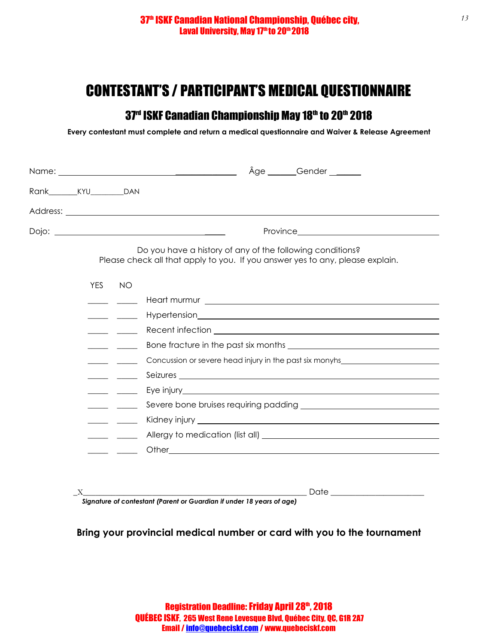### CONTESTANT'S / PARTICIPANT'S MEDICAL QUESTIONNAIRE

### 37<sup>rd</sup> ISKF Canadian Championship May 18<sup>th</sup> to 20<sup>th</sup> 2018

**Every contestant must complete and return a medical questionnaire and Waiver & Release Agreement** 

|                                        |            | Âge Gender                                                                                                                                                                                                                           |
|----------------------------------------|------------|--------------------------------------------------------------------------------------------------------------------------------------------------------------------------------------------------------------------------------------|
| Rank_______________________________DAN |            |                                                                                                                                                                                                                                      |
|                                        |            | Address: <u>example and the contract of the contract of the contract of the contract of the contract of the contract of the contract of the contract of the contract of the contract of the contract of the contract of the cont</u> |
|                                        |            |                                                                                                                                                                                                                                      |
|                                        |            | Do you have a history of any of the following conditions?<br>Please check all that apply to you. If you answer yes to any, please explain.                                                                                           |
|                                        | <b>YES</b> | <b>NO</b>                                                                                                                                                                                                                            |
|                                        |            |                                                                                                                                                                                                                                      |
|                                        |            |                                                                                                                                                                                                                                      |
|                                        |            |                                                                                                                                                                                                                                      |
|                                        |            |                                                                                                                                                                                                                                      |
|                                        |            | Concussion or severe head injury in the past six monyhs example that the conclusion of several control of the past six monyhs                                                                                                        |
|                                        |            |                                                                                                                                                                                                                                      |
|                                        |            |                                                                                                                                                                                                                                      |
|                                        |            |                                                                                                                                                                                                                                      |
|                                        |            |                                                                                                                                                                                                                                      |
|                                        |            |                                                                                                                                                                                                                                      |
|                                        |            |                                                                                                                                                                                                                                      |
|                                        |            |                                                                                                                                                                                                                                      |
|                                        |            | <u> 1980 - Jan James James James James James James James James James James James James James James James James J</u>                                                                                                                 |
|                                        |            | Signature of contestant (Parent or Guardian if under 18 years of age)                                                                                                                                                                |

**Bring your provincial medical number or card with you to the tournament**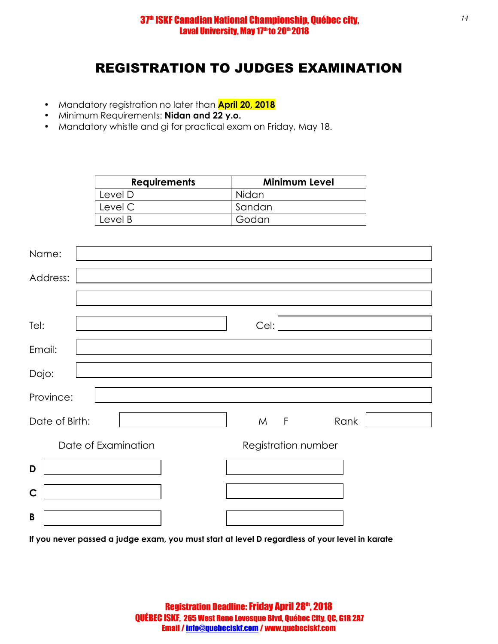### REGISTRATION TO JUDGES EXAMINATION

- Mandatory registration no later than **April 20, 2018**
- Minimum Requirements: **Nidan and 22 y.o.**
- Mandatory whistle and gi for practical exam on Friday, May 18.

| <b>Requirements</b> | <b>Minimum Level</b> |
|---------------------|----------------------|
| Level D             | Nidan                |
| Level C             | Sandan               |
| Level B             | Godan                |

| Name:               |                     |
|---------------------|---------------------|
| Address:            |                     |
|                     |                     |
| Tel:                | Cel:                |
| Email:              |                     |
| Dojo:               |                     |
| Province:           |                     |
| Date of Birth:      | $M$ F<br>Rank       |
| Date of Examination | Registration number |
| D                   |                     |
| $\mathbf C$         |                     |
| B                   |                     |

**If you never passed a judge exam, you must start at level D regardless of your level in karate**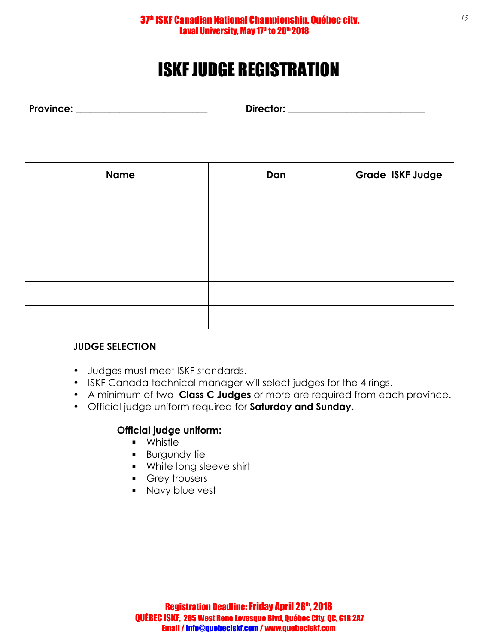# ISKF JUDGE REGISTRATION

**Province: \_\_\_\_\_\_\_\_\_\_\_\_\_\_\_\_\_\_\_\_\_\_\_\_\_\_\_ Director: \_\_\_\_\_\_\_\_\_\_\_\_\_\_\_\_\_\_\_\_\_\_\_\_\_\_\_\_**

| <b>Name</b> | Dan | <b>Grade ISKF Judge</b> |
|-------------|-----|-------------------------|
|             |     |                         |
|             |     |                         |
|             |     |                         |
|             |     |                         |
|             |     |                         |
|             |     |                         |

### **JUDGE SELECTION**

- Judges must meet ISKF standards.
- ISKF Canada technical manager will select judges for the 4 rings.
- A minimum of two **Class C Judges** or more are required from each province.
- Official judge uniform required for **Saturday and Sunday.**

### **Official judge uniform:**

- **•** Whistle
- **Burgundy tie**
- **White long sleeve shirt**
- **Grey trousers**
- **Navy blue vest**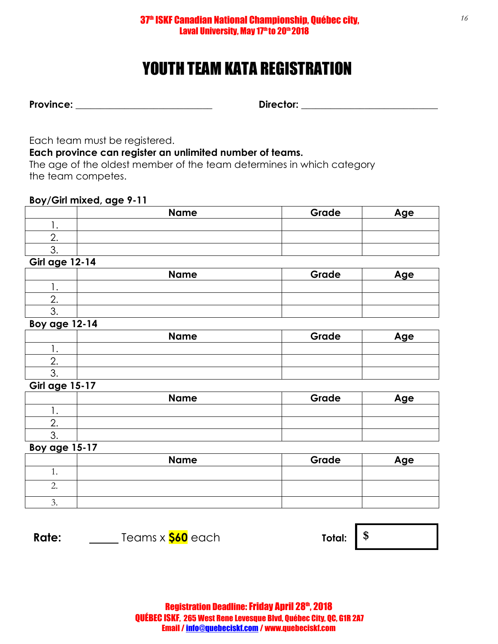## YOUTH TEAM KATA REGISTRATION

| <b>Province:</b> |  |
|------------------|--|
|------------------|--|

**Pirector: \_\_\_\_\_\_\_\_\_\_\_\_\_\_\_\_\_\_\_\_\_\_\_\_\_\_\_\_\_\_\_** 

Each team must be registered.

**Each province can register an unlimited number of teams.** 

The age of the oldest member of the team determines in which category the team competes.

### **Boy/Girl mixed, age 9-11**

|          | <b>Name</b> | Grade | Age |
|----------|-------------|-------|-----|
|          |             |       |     |
| <u>.</u> |             |       |     |
|          |             |       |     |

#### **Girl age 12-14**

| <b>Name</b> | Grade | Age |
|-------------|-------|-----|
|             |       |     |
|             |       |     |
|             |       |     |

#### **Boy age 12-14**

|             | <b>Name</b> | Grade | Age |
|-------------|-------------|-------|-----|
|             |             |       |     |
| <u>. . </u> |             |       |     |
|             |             |       |     |

#### **Girl age 15-17**

|    | <b>Name</b> | Grade | Age |
|----|-------------|-------|-----|
|    |             |       |     |
|    |             |       |     |
| ັ. |             |       |     |
|    |             |       |     |

#### **Boy age 15-17**

|         | <b>Name</b> | Grade | Age |
|---------|-------------|-------|-----|
|         |             |       |     |
|         |             |       |     |
| $\cdot$ |             |       |     |

**Rate:** Teams x  $\frac{\$60}{\$}$  each Total:  $\frac{\$}{\$}$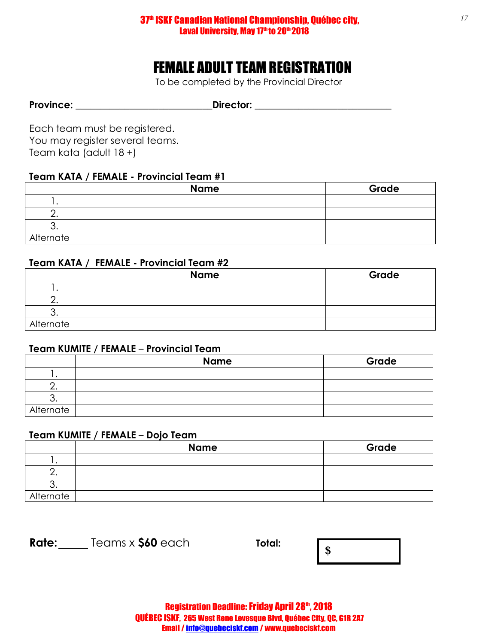#### 37<sup>th</sup> ISKF Canadian National Championship, Québec city, Laval University, May 17th to 20th 2018

### FEMALE ADULT TEAM REGISTRATION

To be completed by the Provincial Director

Province: \_\_\_\_\_\_\_\_\_\_\_\_\_\_\_\_\_\_\_\_\_\_\_\_\_\_\_\_\_\_\_Director: \_\_\_\_\_\_\_\_\_\_\_\_\_\_\_\_\_\_\_\_\_\_\_\_\_\_\_\_\_

Each team must be registered. You may register several teams. Team kata (adult 18 +)

### **Team KATA / FEMALE - Provincial Team #1**

|           | <b>Name</b> | Grade |
|-----------|-------------|-------|
|           |             |       |
|           |             |       |
|           |             |       |
| Alternate |             |       |

### **Team KATA / FEMALE - Provincial Team #2**

|           | <b>Name</b> | Grade |
|-----------|-------------|-------|
|           |             |       |
|           |             |       |
|           |             |       |
| Alternate |             |       |

#### **Team KUMITE / FEMALE** – **Provincial Team**

|           | <b>Name</b> | Grade |
|-----------|-------------|-------|
|           |             |       |
|           |             |       |
|           |             |       |
| Alternate |             |       |

### **Team KUMITE / FEMALE** – **Dojo Team**

|           | <b>Name</b> | Grade |
|-----------|-------------|-------|
|           |             |       |
|           |             |       |
| J.        |             |       |
| Alternate |             |       |

**Rate:** Teams x **\$60** each **Total: \$** 

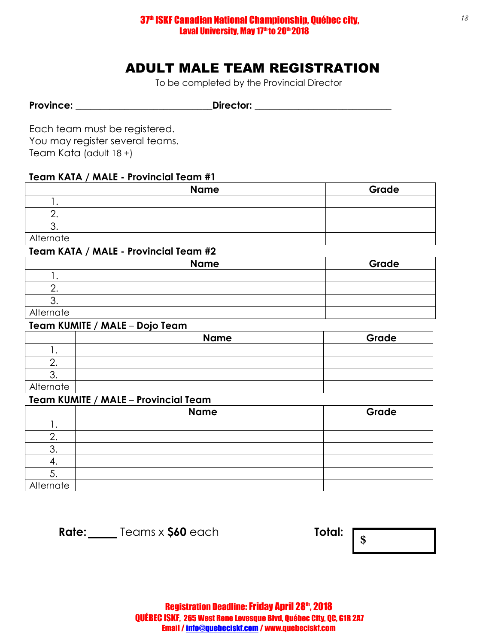### ADULT MALE TEAM REGISTRATION

To be completed by the Provincial Director

Province: \_\_\_\_\_\_\_\_\_\_\_\_\_\_\_\_\_\_\_\_\_\_\_\_\_\_\_\_\_\_\_\_\_Director: \_\_\_\_\_\_\_\_\_\_\_\_\_\_\_\_\_\_\_\_\_\_\_\_\_\_\_\_

Each team must be registered. You may register several teams. Team Kata (adult 18 +)

### **Team KATA / MALE - Provincial Team #1**

|           | <b>Name</b> | Grade |
|-----------|-------------|-------|
|           |             |       |
|           |             |       |
|           |             |       |
| Alternate |             |       |

#### **Team KATA / MALE - Provincial Team #2**

|           | <b>Name</b> | Grade |
|-----------|-------------|-------|
|           |             |       |
|           |             |       |
|           |             |       |
| Alternate |             |       |

#### **Team KUMITE / MALE** – **Dojo Team**

|           | <b>Name</b> | Grade |
|-----------|-------------|-------|
|           |             |       |
|           |             |       |
|           |             |       |
| Alternate |             |       |

#### **Team KUMITE / MALE** – **Provincial Team**

|           | <b>Name</b> | Grade |
|-----------|-------------|-------|
|           |             |       |
|           |             |       |
| J.        |             |       |
|           |             |       |
| J.        |             |       |
| Alternate |             |       |

**Rate:** Teams x \$60 each **Total:**  $\sqrt{s}$ 



*18*